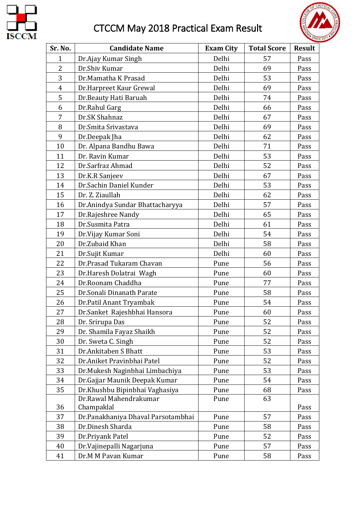

## CTCCM May 2018 Practical Exam Result



| Sr. No.        | <b>Candidate Name</b>                | <b>Exam City</b> | <b>Total Score</b> | <b>Result</b> |
|----------------|--------------------------------------|------------------|--------------------|---------------|
| $\mathbf{1}$   | Dr.Ajay Kumar Singh                  | Delhi            | 57                 | Pass          |
| $\overline{2}$ | Dr.Shiv Kumar                        | Delhi            | 69                 | Pass          |
| 3              | Dr.Mamatha K Prasad                  | Delhi            | 53                 | Pass          |
| $\overline{4}$ | Dr.Harpreet Kaur Grewal              | Delhi            | 69                 | Pass          |
| 5              | Dr.Beauty Hati Baruah                | Delhi            | 74                 | Pass          |
| 6              | Dr.Rahul Garg                        | Delhi            | 66                 | Pass          |
| 7              | Dr.SK Shahnaz                        | Delhi            | 67                 | Pass          |
| 8              | Dr. Smita Srivastava                 | Delhi            | 69                 | Pass          |
| 9              | Dr.Deepak Jha                        | Delhi            | 62                 | Pass          |
| 10             | Dr. Alpana Bandhu Bawa               | Delhi            | 71                 | Pass          |
| 11             | Dr. Ravin Kumar                      | Delhi            | 53                 | Pass          |
| 12             | Dr.Sarfraz Ahmad                     | Delhi            | 52                 | Pass          |
| 13             | Dr.K.R Sanjeev                       | Delhi            | 67                 | Pass          |
| 14             | Dr.Sachin Daniel Kunder              | Delhi            | 53                 | Pass          |
| 15             | Dr. Z. Ziaullah                      | Delhi            | 62                 | Pass          |
| 16             | Dr.Anindya Sundar Bhattacharyya      | Delhi            | 57                 | Pass          |
| 17             | Dr.Rajeshree Nandy                   | Delhi            | 65                 | Pass          |
| 18             | Dr.Susmita Patra                     | Delhi            | 61                 | Pass          |
| 19             | Dr.Vijay Kumar Soni                  | Delhi            | 54                 | Pass          |
| 20             | Dr.Zubaid Khan                       | Delhi            | 58                 | Pass          |
| 21             | Dr.Sujit Kumar                       | Delhi            | 60                 | Pass          |
| 22             | Dr.Prasad Tukaram Chavan             | Pune             | 56                 | Pass          |
| 23             | Dr.Haresh Dolatrai Wagh              | Pune             | 60                 | Pass          |
| 24             | Dr.Roonam Chaddha                    | Pune             | 77                 | Pass          |
| 25             | Dr.Sonali Dinanath Parate            | Pune             | 58                 | Pass          |
| 26             | Dr.Patil Anant Tryambak              | Pune             | 54                 | Pass          |
| 27             | Dr.Sanket Rajeshbhai Hansora         | Pune             | 60                 | Pass          |
| 28             | Dr. Srirupa Das                      | Pune             | 52                 | Pass          |
| 29             | Dr. Shamila Fayaz Shaikh             | Pune             | 52                 | Pass          |
| 30             | Dr. Sweta C. Singh                   | Pune             | 52                 | Pass          |
| 31             | Dr.Ankitaben S Bhatt                 | Pune             | 53                 | Pass          |
| 32             | Dr.Aniket Pravinbhai Patel           | Pune             | 52                 | Pass          |
| 33             | Dr.Mukesh Naginbhai Limbachiya       | Pune             | 53                 | Pass          |
| 34             | Dr.Gajjar Maunik Deepak Kumar        | Pune             | 54                 | Pass          |
| 35             | Dr.Khushbu Bipinbhai Vaghasiya       | Pune             | 68                 | Pass          |
| 36             | Dr.Rawal Mahendrakumar<br>Champaklal | Pune             | 63                 | Pass          |
| 37             | Dr. Panakhaniya Dhaval Parsotambhai  | Pune             | 57                 | Pass          |
| 38             | Dr.Dinesh Sharda                     | Pune             | 58                 | Pass          |
| 39             | Dr.Priyank Patel                     | Pune             | 52                 | Pass          |
| 40             | Dr. Vajinepalli Nagarjuna            | Pune             | 57                 | Pass          |
| 41             | Dr.M M Pavan Kumar                   | Pune             | 58                 | Pass          |